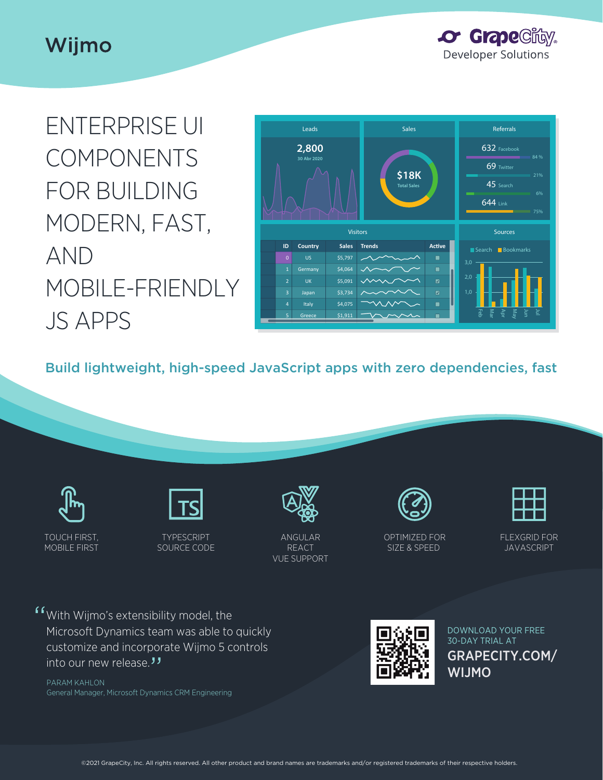# Wijmo

**or Grape Clicy. Developer Solutions** 

ENTERPRISE UI COMPONENTS FOR BUILDING MODERN, FAST, AND MOBILE-FRIENDLY JS APPS



Build lightweight, high-speed JavaScript apps with zero dependencies, fast

| TOUCH FIRST, |
|--------------|
| MOBILE FIRST |



TYPESCRIPT SOURCE CODE



ANGULAR REACT VUE SUPPORT



OPTIMIZED FOR SIZE & SPEED



FLEXGRID FOR **JAVASCRIPT** 

"With Wijmo's extensibility model, the Microsoft Dynamics team was able to quickly customize and incorporate Wijmo 5 controls into our new release.*"*<br><sub>PARAM KAHLON</sub>

PARAM KAHLON General Manager, Microsoft Dynamics CRM Engineering



GRAPECITY.COM/ WIJMO DOWNLOAD YOUR FREE 30-DAY TRIAL AT